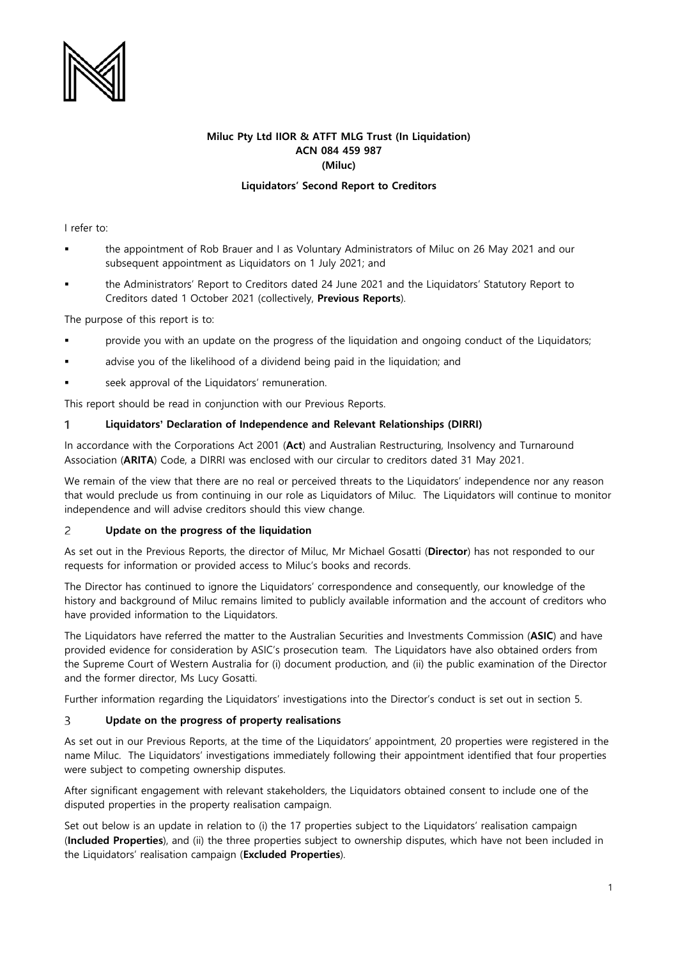

# **Miluc Pty Ltd IIOR & ATFT MLG Trust (In Liquidation) ACN 084 459 987 (Miluc)**

# **Liquidators' Second Report to Creditors**

I refer to:

- the appointment of Rob Brauer and I as Voluntary Administrators of Miluc on 26 May 2021 and our subsequent appointment as Liquidators on 1 July 2021; and
- the Administrators' Report to Creditors dated 24 June 2021 and the Liquidators' Statutory Report to Creditors dated 1 October 2021 (collectively, **Previous Reports**).

The purpose of this report is to:

- provide you with an update on the progress of the liquidation and ongoing conduct of the Liquidators;
- advise you of the likelihood of a dividend being paid in the liquidation; and
- seek approval of the Liquidators' remuneration.

This report should be read in conjunction with our Previous Reports.

#### 1 **Liquidators' Declaration of Independence and Relevant Relationships (DIRRI)**

In accordance with the Corporations Act 2001 (**Act**) and Australian Restructuring, Insolvency and Turnaround Association (**ARITA**) Code, a DIRRI was enclosed with our circular to creditors dated 31 May 2021.

We remain of the view that there are no real or perceived threats to the Liquidators' independence nor any reason that would preclude us from continuing in our role as Liquidators of Miluc. The Liquidators will continue to monitor independence and will advise creditors should this view change.

#### $\overline{c}$ **Update on the progress of the liquidation**

As set out in the Previous Reports, the director of Miluc, Mr Michael Gosatti (**Director**) has not responded to our requests for information or provided access to Miluc's books and records.

The Director has continued to ignore the Liquidators' correspondence and consequently, our knowledge of the history and background of Miluc remains limited to publicly available information and the account of creditors who have provided information to the Liquidators.

The Liquidators have referred the matter to the Australian Securities and Investments Commission (**ASIC**) and have provided evidence for consideration by ASIC's prosecution team. The Liquidators have also obtained orders from the Supreme Court of Western Australia for (i) document production, and (ii) the public examination of the Director and the former director, Ms Lucy Gosatti.

Further information regarding the Liquidators' investigations into the Director's conduct is set out in section 5.

#### 3 **Update on the progress of property realisations**

As set out in our Previous Reports, at the time of the Liquidators' appointment, 20 properties were registered in the name Miluc. The Liquidators' investigations immediately following their appointment identified that four properties were subject to competing ownership disputes.

After significant engagement with relevant stakeholders, the Liquidators obtained consent to include one of the disputed properties in the property realisation campaign.

Set out below is an update in relation to (i) the 17 properties subject to the Liquidators' realisation campaign (**Included Properties**), and (ii) the three properties subject to ownership disputes, which have not been included in the Liquidators' realisation campaign (**Excluded Properties**).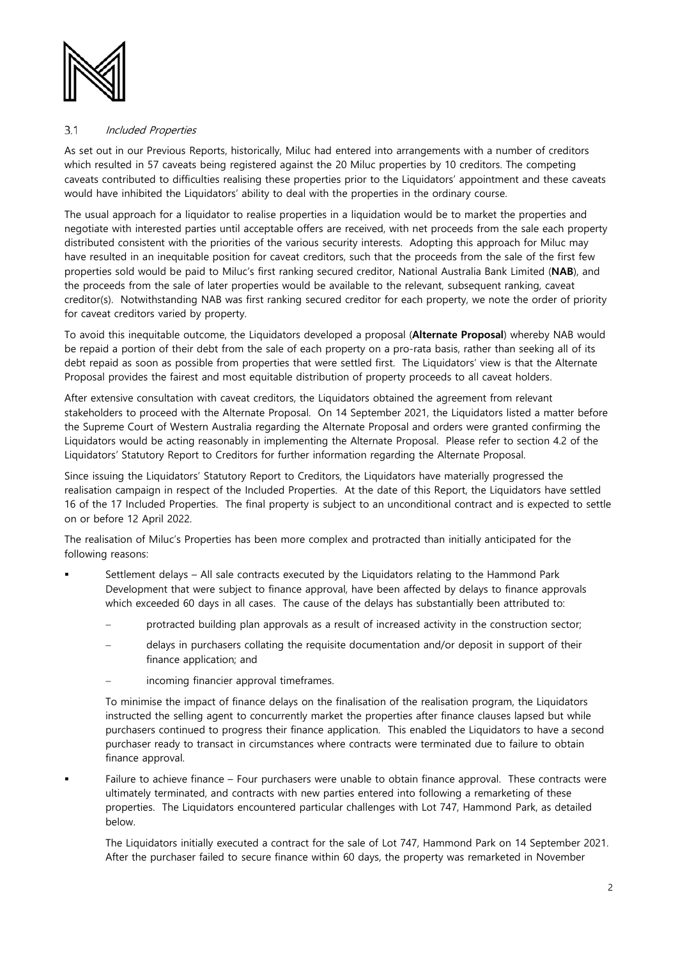

#### $3.1$ Included Properties

As set out in our Previous Reports, historically, Miluc had entered into arrangements with a number of creditors which resulted in 57 caveats being registered against the 20 Miluc properties by 10 creditors. The competing caveats contributed to difficulties realising these properties prior to the Liquidators' appointment and these caveats would have inhibited the Liquidators' ability to deal with the properties in the ordinary course.

The usual approach for a liquidator to realise properties in a liquidation would be to market the properties and negotiate with interested parties until acceptable offers are received, with net proceeds from the sale each property distributed consistent with the priorities of the various security interests. Adopting this approach for Miluc may have resulted in an inequitable position for caveat creditors, such that the proceeds from the sale of the first few properties sold would be paid to Miluc's first ranking secured creditor, National Australia Bank Limited (**NAB**), and the proceeds from the sale of later properties would be available to the relevant, subsequent ranking, caveat creditor(s). Notwithstanding NAB was first ranking secured creditor for each property, we note the order of priority for caveat creditors varied by property.

To avoid this inequitable outcome, the Liquidators developed a proposal (**Alternate Proposal**) whereby NAB would be repaid a portion of their debt from the sale of each property on a pro-rata basis, rather than seeking all of its debt repaid as soon as possible from properties that were settled first. The Liquidators' view is that the Alternate Proposal provides the fairest and most equitable distribution of property proceeds to all caveat holders.

After extensive consultation with caveat creditors, the Liquidators obtained the agreement from relevant stakeholders to proceed with the Alternate Proposal. On 14 September 2021, the Liquidators listed a matter before the Supreme Court of Western Australia regarding the Alternate Proposal and orders were granted confirming the Liquidators would be acting reasonably in implementing the Alternate Proposal. Please refer to section 4.2 of the Liquidators' Statutory Report to Creditors for further information regarding the Alternate Proposal.

Since issuing the Liquidators' Statutory Report to Creditors, the Liquidators have materially progressed the realisation campaign in respect of the Included Properties. At the date of this Report, the Liquidators have settled 16 of the 17 Included Properties. The final property is subject to an unconditional contract and is expected to settle on or before 12 April 2022.

The realisation of Miluc's Properties has been more complex and protracted than initially anticipated for the following reasons:

- Settlement delays All sale contracts executed by the Liquidators relating to the Hammond Park Development that were subject to finance approval, have been affected by delays to finance approvals which exceeded 60 days in all cases. The cause of the delays has substantially been attributed to:
	- protracted building plan approvals as a result of increased activity in the construction sector;
	- − delays in purchasers collating the requisite documentation and/or deposit in support of their finance application; and
	- incoming financier approval timeframes.

To minimise the impact of finance delays on the finalisation of the realisation program, the Liquidators instructed the selling agent to concurrently market the properties after finance clauses lapsed but while purchasers continued to progress their finance application. This enabled the Liquidators to have a second purchaser ready to transact in circumstances where contracts were terminated due to failure to obtain finance approval.

 Failure to achieve finance – Four purchasers were unable to obtain finance approval. These contracts were ultimately terminated, and contracts with new parties entered into following a remarketing of these properties. The Liquidators encountered particular challenges with Lot 747, Hammond Park, as detailed below.

The Liquidators initially executed a contract for the sale of Lot 747, Hammond Park on 14 September 2021. After the purchaser failed to secure finance within 60 days, the property was remarketed in November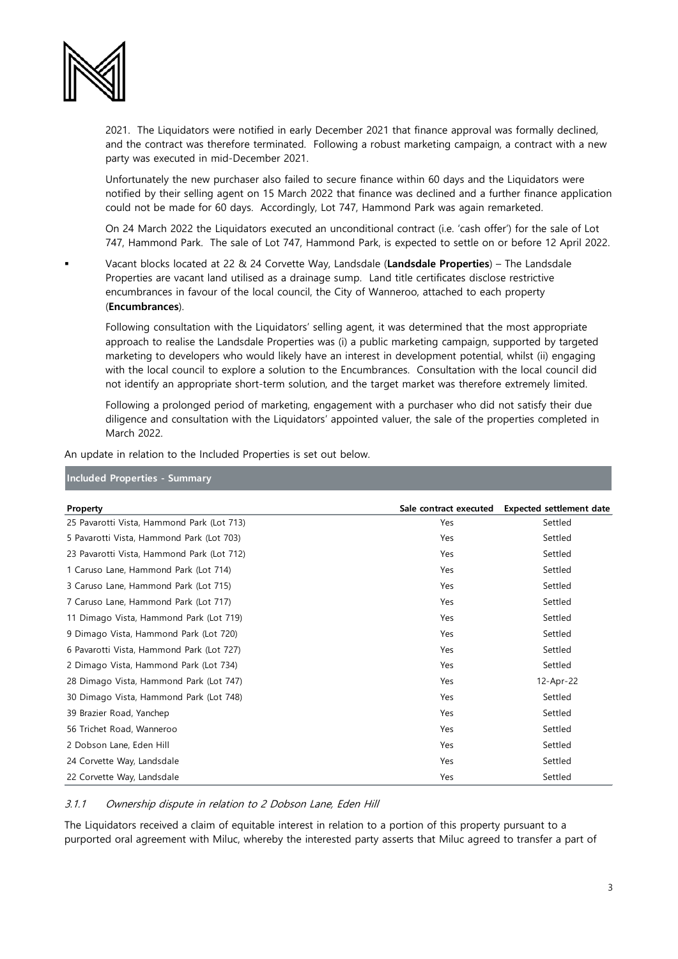

2021. The Liquidators were notified in early December 2021 that finance approval was formally declined, and the contract was therefore terminated. Following a robust marketing campaign, a contract with a new party was executed in mid-December 2021.

Unfortunately the new purchaser also failed to secure finance within 60 days and the Liquidators were notified by their selling agent on 15 March 2022 that finance was declined and a further finance application could not be made for 60 days. Accordingly, Lot 747, Hammond Park was again remarketed.

On 24 March 2022 the Liquidators executed an unconditional contract (i.e. 'cash offer') for the sale of Lot 747, Hammond Park. The sale of Lot 747, Hammond Park, is expected to settle on or before 12 April 2022.

 Vacant blocks located at 22 & 24 Corvette Way, Landsdale (**Landsdale Properties**) – The Landsdale Properties are vacant land utilised as a drainage sump. Land title certificates disclose restrictive encumbrances in favour of the local council, the City of Wanneroo, attached to each property (**Encumbrances**).

Following consultation with the Liquidators' selling agent, it was determined that the most appropriate approach to realise the Landsdale Properties was (i) a public marketing campaign, supported by targeted marketing to developers who would likely have an interest in development potential, whilst (ii) engaging with the local council to explore a solution to the Encumbrances. Consultation with the local council did not identify an appropriate short-term solution, and the target market was therefore extremely limited.

Following a prolonged period of marketing, engagement with a purchaser who did not satisfy their due diligence and consultation with the Liquidators' appointed valuer, the sale of the properties completed in March 2022.

An update in relation to the Included Properties is set out below.

# **Included Properties - Summary**

| Property                                   | Sale contract executed | <b>Expected settlement date</b> |
|--------------------------------------------|------------------------|---------------------------------|
| 25 Pavarotti Vista, Hammond Park (Lot 713) | Yes                    | Settled                         |
| 5 Pavarotti Vista, Hammond Park (Lot 703)  | Yes                    | Settled                         |
| 23 Pavarotti Vista, Hammond Park (Lot 712) | Yes                    | Settled                         |
| 1 Caruso Lane, Hammond Park (Lot 714)      | Yes                    | Settled                         |
| 3 Caruso Lane, Hammond Park (Lot 715)      | Yes                    | Settled                         |
| 7 Caruso Lane, Hammond Park (Lot 717)      | Yes                    | Settled                         |
| 11 Dimago Vista, Hammond Park (Lot 719)    | Yes                    | Settled                         |
| 9 Dimago Vista, Hammond Park (Lot 720)     | Yes                    | Settled                         |
| 6 Pavarotti Vista, Hammond Park (Lot 727)  | Yes                    | Settled                         |
| 2 Dimago Vista, Hammond Park (Lot 734)     | Yes                    | Settled                         |
| 28 Dimago Vista, Hammond Park (Lot 747)    | Yes                    | 12-Apr-22                       |
| 30 Dimago Vista, Hammond Park (Lot 748)    | Yes                    | Settled                         |
| 39 Brazier Road, Yanchep                   | Yes                    | Settled                         |
| 56 Trichet Road, Wanneroo                  | Yes                    | Settled                         |
| 2 Dobson Lane, Eden Hill                   | Yes                    | Settled                         |
| 24 Corvette Way, Landsdale                 | Yes                    | Settled                         |
| 22 Corvette Way, Landsdale                 | Yes                    | Settled                         |

### 3.1.1 Ownership dispute in relation to 2 Dobson Lane, Eden Hill

The Liquidators received a claim of equitable interest in relation to a portion of this property pursuant to a purported oral agreement with Miluc, whereby the interested party asserts that Miluc agreed to transfer a part of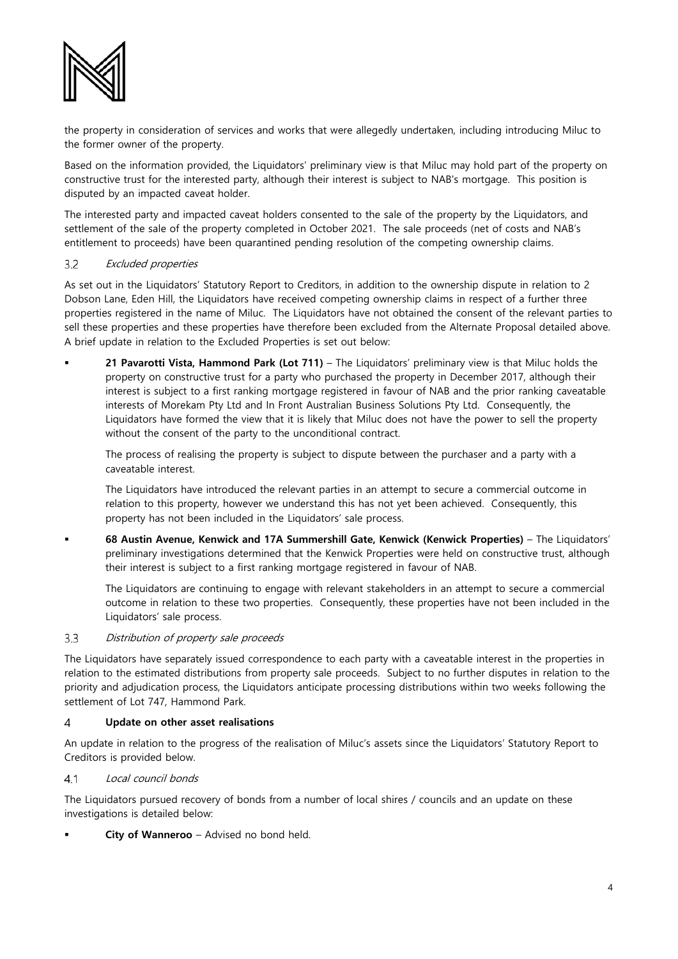

the property in consideration of services and works that were allegedly undertaken, including introducing Miluc to the former owner of the property.

Based on the information provided, the Liquidators' preliminary view is that Miluc may hold part of the property on constructive trust for the interested party, although their interest is subject to NAB's mortgage. This position is disputed by an impacted caveat holder.

The interested party and impacted caveat holders consented to the sale of the property by the Liquidators, and settlement of the sale of the property completed in October 2021. The sale proceeds (net of costs and NAB's entitlement to proceeds) have been quarantined pending resolution of the competing ownership claims.

#### $3.2$ Excluded properties

As set out in the Liquidators' Statutory Report to Creditors, in addition to the ownership dispute in relation to 2 Dobson Lane, Eden Hill, the Liquidators have received competing ownership claims in respect of a further three properties registered in the name of Miluc. The Liquidators have not obtained the consent of the relevant parties to sell these properties and these properties have therefore been excluded from the Alternate Proposal detailed above. A brief update in relation to the Excluded Properties is set out below:

 **21 Pavarotti Vista, Hammond Park (Lot 711)** – The Liquidators' preliminary view is that Miluc holds the property on constructive trust for a party who purchased the property in December 2017, although their interest is subject to a first ranking mortgage registered in favour of NAB and the prior ranking caveatable interests of Morekam Pty Ltd and In Front Australian Business Solutions Pty Ltd. Consequently, the Liquidators have formed the view that it is likely that Miluc does not have the power to sell the property without the consent of the party to the unconditional contract.

The process of realising the property is subject to dispute between the purchaser and a party with a caveatable interest.

The Liquidators have introduced the relevant parties in an attempt to secure a commercial outcome in relation to this property, however we understand this has not yet been achieved. Consequently, this property has not been included in the Liquidators' sale process.

 **68 Austin Avenue, Kenwick and 17A Summershill Gate, Kenwick (Kenwick Properties)** – The Liquidators' preliminary investigations determined that the Kenwick Properties were held on constructive trust, although their interest is subject to a first ranking mortgage registered in favour of NAB.

The Liquidators are continuing to engage with relevant stakeholders in an attempt to secure a commercial outcome in relation to these two properties. Consequently, these properties have not been included in the Liquidators' sale process.

#### $3.3$ Distribution of property sale proceeds

The Liquidators have separately issued correspondence to each party with a caveatable interest in the properties in relation to the estimated distributions from property sale proceeds. Subject to no further disputes in relation to the priority and adjudication process, the Liquidators anticipate processing distributions within two weeks following the settlement of Lot 747, Hammond Park.

#### 4 **Update on other asset realisations**

An update in relation to the progress of the realisation of Miluc's assets since the Liquidators' Statutory Report to Creditors is provided below.

 $4.1$ Local council bonds

The Liquidators pursued recovery of bonds from a number of local shires / councils and an update on these investigations is detailed below:

**City of Wanneroo** – Advised no bond held.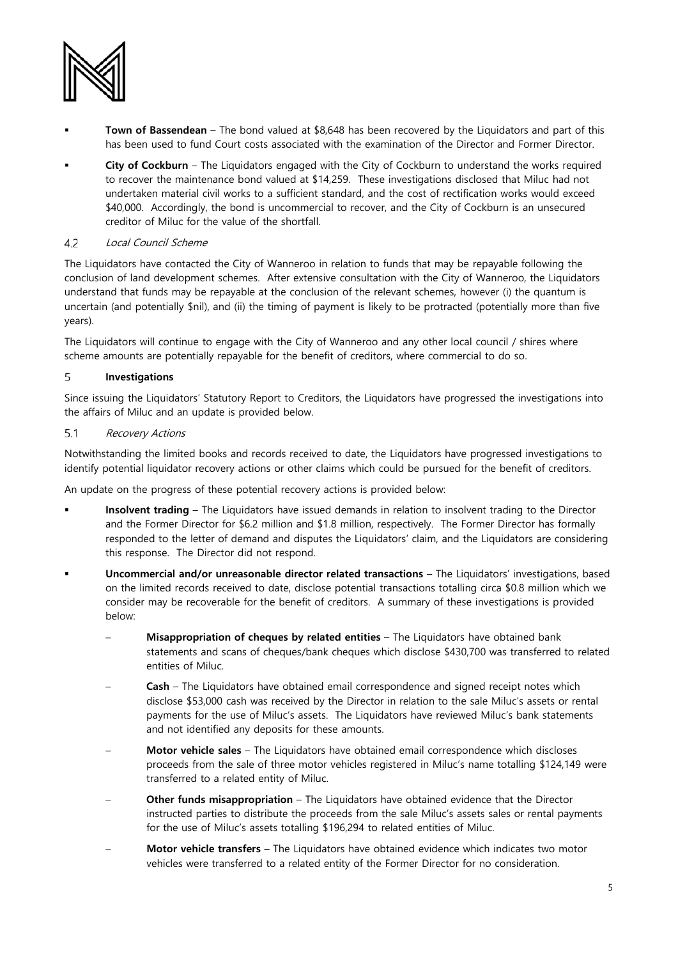

- **Town of Bassendean**  The bond valued at \$8,648 has been recovered by the Liquidators and part of this has been used to fund Court costs associated with the examination of the Director and Former Director.
- **City of Cockburn** The Liquidators engaged with the City of Cockburn to understand the works required to recover the maintenance bond valued at \$14,259. These investigations disclosed that Miluc had not undertaken material civil works to a sufficient standard, and the cost of rectification works would exceed \$40,000. Accordingly, the bond is uncommercial to recover, and the City of Cockburn is an unsecured creditor of Miluc for the value of the shortfall.

#### 4.2 Local Council Scheme

The Liquidators have contacted the City of Wanneroo in relation to funds that may be repayable following the conclusion of land development schemes. After extensive consultation with the City of Wanneroo, the Liquidators understand that funds may be repayable at the conclusion of the relevant schemes, however (i) the quantum is uncertain (and potentially \$nil), and (ii) the timing of payment is likely to be protracted (potentially more than five years).

The Liquidators will continue to engage with the City of Wanneroo and any other local council / shires where scheme amounts are potentially repayable for the benefit of creditors, where commercial to do so.

#### 5 **Investigations**

Since issuing the Liquidators' Statutory Report to Creditors, the Liquidators have progressed the investigations into the affairs of Miluc and an update is provided below.

#### $51$ Recovery Actions

Notwithstanding the limited books and records received to date, the Liquidators have progressed investigations to identify potential liquidator recovery actions or other claims which could be pursued for the benefit of creditors.

An update on the progress of these potential recovery actions is provided below:

- **Insolvent trading** The Liquidators have issued demands in relation to insolvent trading to the Director and the Former Director for \$6.2 million and \$1.8 million, respectively. The Former Director has formally responded to the letter of demand and disputes the Liquidators' claim, and the Liquidators are considering this response. The Director did not respond.
- **Uncommercial and/or unreasonable director related transactions** The Liquidators' investigations, based on the limited records received to date, disclose potential transactions totalling circa \$0.8 million which we consider may be recoverable for the benefit of creditors. A summary of these investigations is provided below:
	- − **Misappropriation of cheques by related entities** The Liquidators have obtained bank statements and scans of cheques/bank cheques which disclose \$430,700 was transferred to related entities of Miluc.
	- − **Cash**  The Liquidators have obtained email correspondence and signed receipt notes which disclose \$53,000 cash was received by the Director in relation to the sale Miluc's assets or rental payments for the use of Miluc's assets. The Liquidators have reviewed Miluc's bank statements and not identified any deposits for these amounts.
	- − **Motor vehicle sales** The Liquidators have obtained email correspondence which discloses proceeds from the sale of three motor vehicles registered in Miluc's name totalling \$124,149 were transferred to a related entity of Miluc.
	- **Other funds misappropriation** The Liquidators have obtained evidence that the Director instructed parties to distribute the proceeds from the sale Miluc's assets sales or rental payments for the use of Miluc's assets totalling \$196,294 to related entities of Miluc.
	- − **Motor vehicle transfers**  The Liquidators have obtained evidence which indicates two motor vehicles were transferred to a related entity of the Former Director for no consideration.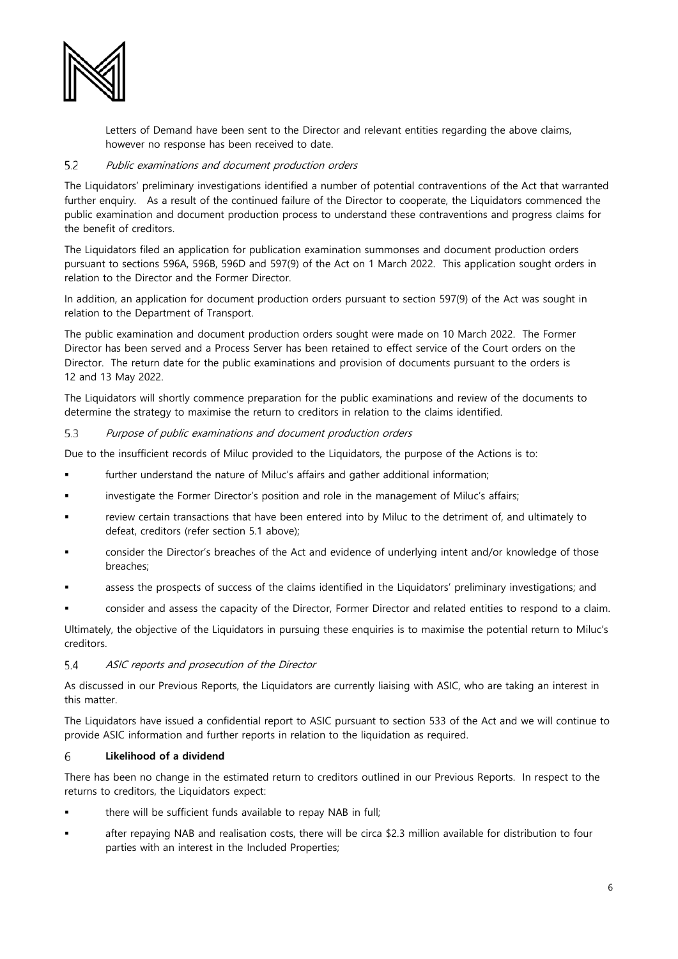

Letters of Demand have been sent to the Director and relevant entities regarding the above claims, however no response has been received to date.

#### $5.2$ Public examinations and document production orders

The Liquidators' preliminary investigations identified a number of potential contraventions of the Act that warranted further enquiry. As a result of the continued failure of the Director to cooperate, the Liquidators commenced the public examination and document production process to understand these contraventions and progress claims for the benefit of creditors.

The Liquidators filed an application for publication examination summonses and document production orders pursuant to sections 596A, 596B, 596D and 597(9) of the Act on 1 March 2022. This application sought orders in relation to the Director and the Former Director.

In addition, an application for document production orders pursuant to section 597(9) of the Act was sought in relation to the Department of Transport.

The public examination and document production orders sought were made on 10 March 2022. The Former Director has been served and a Process Server has been retained to effect service of the Court orders on the Director. The return date for the public examinations and provision of documents pursuant to the orders is 12 and 13 May 2022.

The Liquidators will shortly commence preparation for the public examinations and review of the documents to determine the strategy to maximise the return to creditors in relation to the claims identified.

#### 5.3 Purpose of public examinations and document production orders

Due to the insufficient records of Miluc provided to the Liquidators, the purpose of the Actions is to:

- further understand the nature of Miluc's affairs and gather additional information;
- investigate the Former Director's position and role in the management of Miluc's affairs;
- review certain transactions that have been entered into by Miluc to the detriment of, and ultimately to defeat, creditors (refer section 5.1 above);
- consider the Director's breaches of the Act and evidence of underlying intent and/or knowledge of those breaches;
- assess the prospects of success of the claims identified in the Liquidators' preliminary investigations; and
- consider and assess the capacity of the Director, Former Director and related entities to respond to a claim.

Ultimately, the objective of the Liquidators in pursuing these enquiries is to maximise the potential return to Miluc's creditors.

#### 5.4 ASIC reports and prosecution of the Director

As discussed in our Previous Reports, the Liquidators are currently liaising with ASIC, who are taking an interest in this matter.

The Liquidators have issued a confidential report to ASIC pursuant to section 533 of the Act and we will continue to provide ASIC information and further reports in relation to the liquidation as required.

#### 6 **Likelihood of a dividend**

There has been no change in the estimated return to creditors outlined in our Previous Reports. In respect to the returns to creditors, the Liquidators expect:

- there will be sufficient funds available to repay NAB in full;
- after repaying NAB and realisation costs, there will be circa \$2.3 million available for distribution to four parties with an interest in the Included Properties;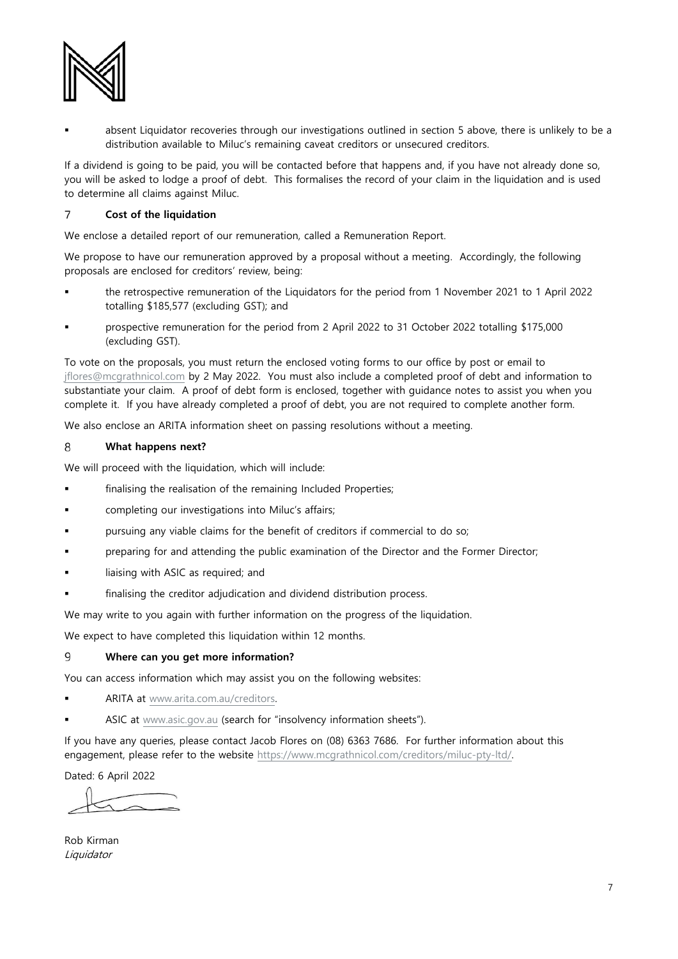

 absent Liquidator recoveries through our investigations outlined in section 5 above, there is unlikely to be a distribution available to Miluc's remaining caveat creditors or unsecured creditors.

If a dividend is going to be paid, you will be contacted before that happens and, if you have not already done so, you will be asked to lodge a proof of debt. This formalises the record of your claim in the liquidation and is used to determine all claims against Miluc.

#### $\overline{7}$ **Cost of the liquidation**

We enclose a detailed report of our remuneration, called a Remuneration Report.

We propose to have our remuneration approved by a proposal without a meeting. Accordingly, the following proposals are enclosed for creditors' review, being:

- the retrospective remuneration of the Liquidators for the period from 1 November 2021 to 1 April 2022 totalling \$185,577 (excluding GST); and
- prospective remuneration for the period from 2 April 2022 to 31 October 2022 totalling \$175,000 (excluding GST).

To vote on the proposals, you must return the enclosed voting forms to our office by post or email to [jflores@mcgrathnicol.com](mailto:jflores@mcgrathnicol.com) by 2 May 2022. You must also include a completed proof of debt and information to substantiate your claim. A proof of debt form is enclosed, together with guidance notes to assist you when you complete it. If you have already completed a proof of debt, you are not required to complete another form.

We also enclose an ARITA information sheet on passing resolutions without a meeting.

#### 8 **What happens next?**

We will proceed with the liquidation, which will include:

- finalising the realisation of the remaining Included Properties;
- completing our investigations into Miluc's affairs;
- pursuing any viable claims for the benefit of creditors if commercial to do so;
- preparing for and attending the public examination of the Director and the Former Director;
- liaising with ASIC as required; and
- finalising the creditor adjudication and dividend distribution process.

We may write to you again with further information on the progress of the liquidation.

We expect to have completed this liquidation within 12 months.

#### 9 **Where can you get more information?**

You can access information which may assist you on the following websites:

- ARITA at [www.arita.com.au/creditors.](http://www.arita.com.au/creditors)
- ASIC at [www.asic.gov.au](http://www.asic.gov.au/) (search for "insolvency information sheets").

If you have any queries, please contact Jacob Flores on (08) 6363 7686. For further information about this engagement, please refer to the website [https://www.mcgrathnicol.com/creditors/miluc-pty-ltd/.](https://www.mcgrathnicol.com/creditors/miluc-pty-ltd/) 

Dated: 6 April 2022

Rob Kirman Liquidator